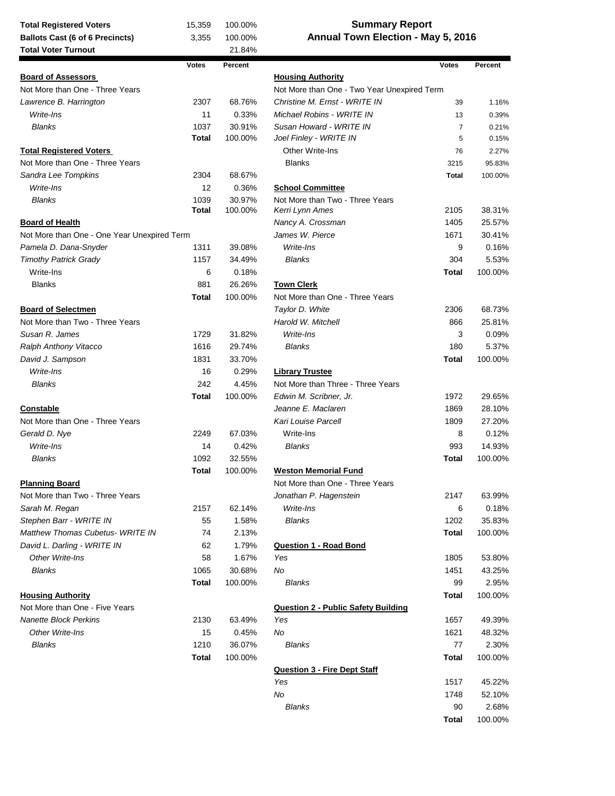| <b>Summary Report</b><br>15,359<br>100.00%<br><b>Total Registered Voters</b> |              |         |                                             |              |                  |  |
|------------------------------------------------------------------------------|--------------|---------|---------------------------------------------|--------------|------------------|--|
| <b>Ballots Cast (6 of 6 Precincts)</b>                                       | 3,355        | 100.00% | Annual Town Election - May 5, 2016          |              |                  |  |
| <b>Total Voter Turnout</b>                                                   |              | 21.84%  |                                             |              |                  |  |
|                                                                              | <b>Votes</b> | Percent |                                             | <b>Votes</b> | Percent          |  |
| <b>Board of Assessors</b>                                                    |              |         | <b>Housing Authority</b>                    |              |                  |  |
| Not More than One - Three Years                                              |              |         | Not More than One - Two Year Unexpired Term |              |                  |  |
| Lawrence B. Harrington                                                       | 2307         | 68.76%  | Christine M. Ernst - WRITE IN               | 39           | 1.16%            |  |
| Write-Ins                                                                    | 11           | 0.33%   | Michael Robins - WRITE IN                   | 13           | 0.39%            |  |
| <b>Blanks</b>                                                                | 1037         | 30.91%  | Susan Howard - WRITE IN                     | 7            | 0.21%            |  |
|                                                                              | <b>Total</b> | 100.00% | Joel Finley - WRITE IN                      | 5            | 0.15%            |  |
| <b>Total Registered Voters</b>                                               |              |         | Other Write-Ins                             | 76           | 2.27%            |  |
| Not More than One - Three Years                                              |              |         | <b>Blanks</b>                               | 3215         | 95.83%           |  |
| Sandra Lee Tompkins                                                          | 2304         | 68.67%  |                                             | <b>Total</b> | 100.00%          |  |
| Write-Ins                                                                    | 12           | 0.36%   | <b>School Committee</b>                     |              |                  |  |
| <b>Blanks</b>                                                                | 1039         | 30.97%  | Not More than Two - Three Years             |              |                  |  |
|                                                                              | <b>Total</b> | 100.00% | Kerri Lynn Ames                             | 2105         | 38.31%           |  |
| <b>Board of Health</b>                                                       |              |         | Nancy A. Crossman                           | 1405         | 25.57%           |  |
| Not More than One - One Year Unexpired Term                                  |              |         | James W. Pierce                             | 1671         | 30.41%           |  |
| Pamela D. Dana-Snyder                                                        | 1311         | 39.08%  | Write-Ins                                   | 9            | 0.16%            |  |
| <b>Timothy Patrick Grady</b>                                                 | 1157         | 34.49%  | <b>Blanks</b>                               | 304          | 5.53%            |  |
| Write-Ins                                                                    | 6            | 0.18%   |                                             | Total        | 100.00%          |  |
| <b>Blanks</b>                                                                | 881          | 26.26%  | <b>Town Clerk</b>                           |              |                  |  |
|                                                                              | <b>Total</b> | 100.00% | Not More than One - Three Years             |              |                  |  |
|                                                                              |              |         |                                             |              |                  |  |
| <b>Board of Selectmen</b>                                                    |              |         | Taylor D. White                             | 2306         | 68.73%           |  |
| Not More than Two - Three Years                                              |              |         | Harold W. Mitchell                          | 866          | 25.81%           |  |
| Susan R. James                                                               | 1729         | 31.82%  | Write-Ins                                   | 3            | 0.09%            |  |
| Ralph Anthony Vitacco                                                        | 1616         | 29.74%  | <b>Blanks</b>                               | 180          | 5.37%            |  |
| David J. Sampson                                                             | 1831         | 33.70%  |                                             | Total        | 100.00%          |  |
| Write-Ins                                                                    | 16           | 0.29%   | <b>Library Trustee</b>                      |              |                  |  |
| <b>Blanks</b>                                                                | 242          | 4.45%   | Not More than Three - Three Years           |              |                  |  |
|                                                                              | Total        | 100.00% | Edwin M. Scribner, Jr.                      | 1972         | 29.65%           |  |
| <b>Constable</b>                                                             |              |         | Jeanne E. Maclaren                          | 1869         | 28.10%           |  |
| Not More than One - Three Years                                              |              |         | Kari Louise Parcell                         | 1809         | 27.20%           |  |
| Gerald D. Nye                                                                | 2249         | 67.03%  | Write-Ins                                   | 8            | 0.12%            |  |
| Write-Ins                                                                    | 14           | 0.42%   | <b>Blanks</b>                               | 993          | 14.93%           |  |
| Blanks                                                                       | 1092         | 32.55%  |                                             | Total        | 100.00%          |  |
|                                                                              | Total        | 100.00% | <b>Weston Memorial Fund</b>                 |              |                  |  |
| <b>Planning Board</b>                                                        |              |         | Not More than One - Three Years             |              |                  |  |
| Not More than Two - Three Years                                              |              |         | Jonathan P. Hagenstein                      | 2147         | 63.99%           |  |
| Sarah M. Regan                                                               | 2157         | 62.14%  | Write-Ins                                   | 6            | 0.18%            |  |
| Stephen Barr - WRITE IN                                                      | 55           | 1.58%   | <b>Blanks</b>                               | 1202         | 35.83%           |  |
| Matthew Thomas Cubetus-WRITE IN                                              | 74           | 2.13%   |                                             | Total        | 100.00%          |  |
| David L. Darling - WRITE IN                                                  | 62           | 1.79%   | <b>Question 1 - Road Bond</b>               |              |                  |  |
| Other Write-Ins                                                              | 58           | 1.67%   | Yes                                         | 1805         | 53.80%           |  |
| <b>Blanks</b>                                                                | 1065         | 30.68%  | No                                          | 1451         | 43.25%           |  |
|                                                                              | <b>Total</b> | 100.00% | <b>Blanks</b>                               | 99           | 2.95%            |  |
| <b>Housing Authority</b>                                                     |              |         |                                             | Total        | 100.00%          |  |
| Not More than One - Five Years                                               |              |         | <b>Question 2 - Public Safety Building</b>  |              |                  |  |
| <b>Nanette Block Perkins</b>                                                 | 2130         | 63.49%  | Yes                                         | 1657         |                  |  |
| Other Write-Ins                                                              | 15           | 0.45%   | No                                          | 1621         | 49.39%<br>48.32% |  |
| <b>Blanks</b>                                                                | 1210         | 36.07%  | <b>Blanks</b>                               | 77           | 2.30%            |  |
|                                                                              |              |         |                                             |              |                  |  |
|                                                                              | <b>Total</b> | 100.00% |                                             | Total        | 100.00%          |  |
|                                                                              |              |         | <b>Question 3 - Fire Dept Staff</b>         |              |                  |  |
|                                                                              |              |         | Yes                                         | 1517         | 45.22%           |  |
|                                                                              |              |         | No                                          | 1748         | 52.10%           |  |
|                                                                              |              |         | <b>Blanks</b>                               | 90           | 2.68%            |  |

**Total** 100.00%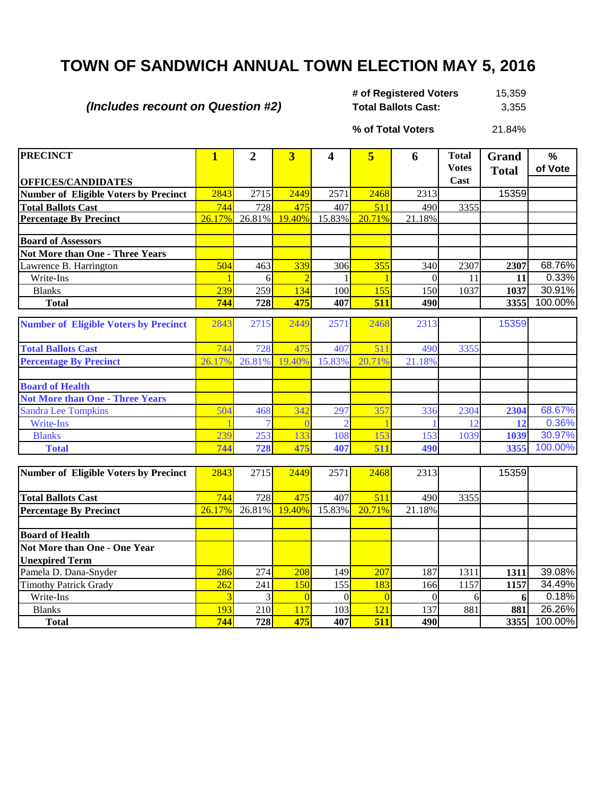## **TOWN OF SANDWICH ANNUAL TOWN ELECTION MAY 5, 2016**

*(Includes recount on Question #2)*

15,359 **Total Ballots Cast:** 3,355 **# of Registered Voters** 

**% of Total Voters**

21.84%

| <b>PRECINCT</b>                              | $\mathbf{1}$ | $\overline{2}$ | $\overline{\mathbf{3}}$ | 4        | 5              | 6        | <b>Total</b><br><b>Votes</b> | Grand<br><b>Total</b> | %<br>of Vote |
|----------------------------------------------|--------------|----------------|-------------------------|----------|----------------|----------|------------------------------|-----------------------|--------------|
| <b>OFFICES/CANDIDATES</b>                    |              |                |                         |          |                |          | Cast                         |                       |              |
| <b>Number of Eligible Voters by Precinct</b> | 2843         | 2715           | 2449                    | 2571     | 2468           | 2313     |                              | 15359                 |              |
| <b>Total Ballots Cast</b>                    | 744          | 728            | 475                     | 407      | 511            | 490      | 3355                         |                       |              |
| <b>Percentage By Precinct</b>                | 26.17%       | 26.81%         | 19.40%                  | 15.83%   | 20.71%         | 21.18%   |                              |                       |              |
|                                              |              |                |                         |          |                |          |                              |                       |              |
| <b>Board of Assessors</b>                    |              |                |                         |          |                |          |                              |                       |              |
| Not More than One - Three Years              |              |                |                         |          |                |          |                              |                       |              |
| Lawrence B. Harrington                       | 504          | 463            | 339                     | 306      | 355            | 340      | 2307                         | 2307                  | 68.76%       |
| Write-Ins                                    |              | 6              |                         |          |                | $\theta$ | 11                           | 11                    | 0.33%        |
| <b>Blanks</b>                                | 239          | 259            | 134                     | 100      | 155            | 150      | 1037                         | 1037                  | 30.91%       |
| <b>Total</b>                                 | 744          | 728            | 475                     | 407      | 511            | 490      |                              | 3355                  | 100.00%      |
| <b>Number of Eligible Voters by Precinct</b> | 2843         | 2715           | 2449                    | 2571     | 2468           | 2313     |                              | 15359                 |              |
| <b>Total Ballots Cast</b>                    | 744          | 728            | 475                     | 407      | 511            | 490      | 3355                         |                       |              |
| <b>Percentage By Precinct</b>                | 26.17%       | 26.81%         | 19.40%                  | 15.83%   | 20.71%         | 21.18%   |                              |                       |              |
| <b>Board of Health</b>                       |              |                |                         |          |                |          |                              |                       |              |
| <b>Not More than One - Three Years</b>       |              |                |                         |          |                |          |                              |                       |              |
| <b>Sandra Lee Tompkins</b>                   | 504          | 468            | 342                     | 297      | 357            | 336      | 2304                         | 2304                  | 68.67%       |
| <b>Write-Ins</b>                             |              |                |                         |          |                |          | 12                           | 12                    | 0.36%        |
| <b>Blanks</b>                                | 239          | 253            | 133                     | 108      | 153            | 153      | 1039                         | 1039                  | 30.97%       |
| <b>Total</b>                                 | 744          | 728            | 475                     | 407      | 511            | 490      |                              | 3355                  | 100.00%      |
|                                              |              |                |                         |          |                |          |                              |                       |              |
| Number of Eligible Voters by Precinct        | 2843         | 2715           | 2449                    | 2571     | 2468           | 2313     |                              | 15359                 |              |
| <b>Total Ballots Cast</b>                    | 744          | 728            | 475                     | 407      | 511            | 490      | 3355                         |                       |              |
| <b>Percentage By Precinct</b>                | 26.17%       | 26.81%         | 19.40%                  | 15.83%   | 20.71%         | 21.18%   |                              |                       |              |
|                                              |              |                |                         |          |                |          |                              |                       |              |
| <b>Board of Health</b>                       |              |                |                         |          |                |          |                              |                       |              |
| <b>Not More than One - One Year</b>          |              |                |                         |          |                |          |                              |                       |              |
| <b>Unexpired Term</b>                        |              |                |                         |          |                |          |                              |                       |              |
| Pamela D. Dana-Snyder                        | 286          | 274            | 208                     | 149      | 207            | 187      | 1311                         | 1311                  | 39.08%       |
| <b>Timothy Patrick Grady</b>                 | 262          | 241            | 150                     | 155      | 183            | 166      | 1157                         | 1157                  | 34.49%       |
| Write-Ins                                    | 3            | 3              | $\overline{0}$          | $\Omega$ | $\overline{0}$ | $\theta$ | 6                            | 6                     | 0.18%        |
| <b>Blanks</b>                                | 193          | 210            | 117                     | 103      | 121            | 137      | 881                          | 881                   | 26.26%       |
| <b>Total</b>                                 | 744          | 728            | 475                     | 407      | 511            | 490      |                              | 3355                  | 100.00%      |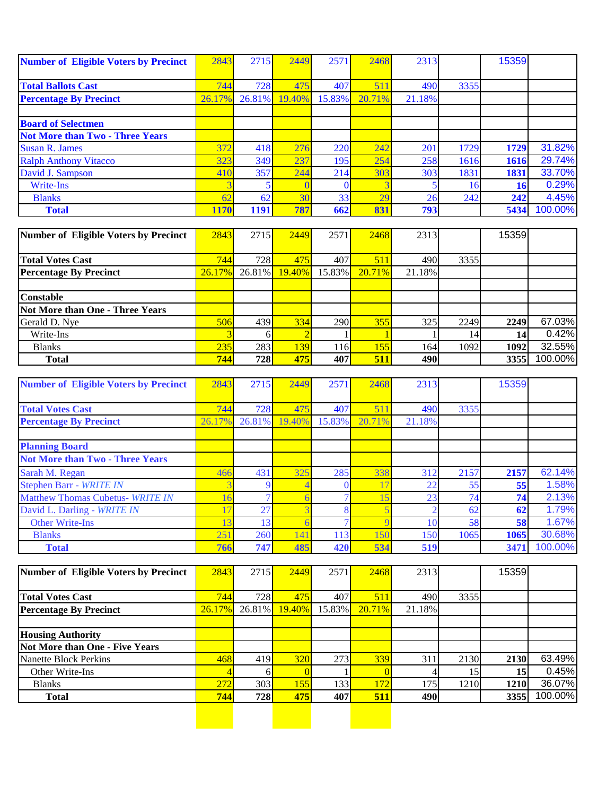| <b>Number of Eligible Voters by Precinct</b> | 2843   | 2715   | 2449   | 2571   | 2468   | 2313   |      | 15359     |         |
|----------------------------------------------|--------|--------|--------|--------|--------|--------|------|-----------|---------|
|                                              |        |        |        |        |        |        |      |           |         |
| <b>Total Ballots Cast</b>                    | 744    | 728    | 475    | 407    | 511    | 490    | 3355 |           |         |
| <b>Percentage By Precinct</b>                | 26.17% | 26.81% | 19.40% | 15.83% | 20.71% | 21.18% |      |           |         |
|                                              |        |        |        |        |        |        |      |           |         |
| <b>Board of Selectmen</b>                    |        |        |        |        |        |        |      |           |         |
| <b>Not More than Two - Three Years</b>       |        |        |        |        |        |        |      |           |         |
| <b>Susan R. James</b>                        | 372    | 418    | 276    | 220    | 242    | 201    | 1729 | 1729      | 31.82%  |
| <b>Ralph Anthony Vitacco</b>                 | 323    | 349    | 237    | 195    | 254    | 258    | 1616 | 1616      | 29.74%  |
| David J. Sampson                             | 410    | 357    | 244    | 214    | 303    | 303    | 1831 | 1831      | 33.70%  |
| Write-Ins                                    |        |        |        |        |        |        |      | <b>16</b> | 0.29%   |
| <b>Blanks</b>                                | 62     | 62     | 30     | 33     | 29     | 26     | 242  | 242       | 4.45%   |
| <b>Total</b>                                 | 1170   | 1191   | 787    | 662    | 831    | 793    |      | 5434      | 100.00% |

| Number of Eligible Voters by Precinct | 2843   | 2715      | 2449       | 2571             | 2468   | 2313   |      | 15359 |         |
|---------------------------------------|--------|-----------|------------|------------------|--------|--------|------|-------|---------|
|                                       |        |           |            |                  |        |        |      |       |         |
| <b>Total Votes Cast</b>               | 744    | 728       | 475        | 407              | 511    | 490    | 3355 |       |         |
| <b>Percentage By Precinct</b>         | 26.17% | $26.81\%$ | 19.40%     | 15.83%           | 20.71% | 21.18% |      |       |         |
|                                       |        |           |            |                  |        |        |      |       |         |
| <b>Constable</b>                      |        |           |            |                  |        |        |      |       |         |
| Not More than One - Three Years       |        |           |            |                  |        |        |      |       |         |
| Gerald D. Nye                         | 506    | 439       | 334        | 290 <sup> </sup> | 355    | 325    | 2249 | 2249  | 67.03%  |
| Write-Ins                             |        |           |            |                  |        |        | 14   | 14    | 0.42%   |
| <b>Blanks</b>                         | 235    | 283       | 139        | 116 <sup> </sup> | 155    | 164    | 1092 | 1092  | 32.55%  |
| <b>Total</b>                          | 744    | 728       | <b>475</b> | 407              | 511    | 490    |      | 3355  | 100.00% |

| <b>Number of Eligible Voters by Precinct</b> | 2843   | 2715      | 2449   | 2571   | 2468            | 2313   |      | 15359 |         |
|----------------------------------------------|--------|-----------|--------|--------|-----------------|--------|------|-------|---------|
|                                              |        |           |        |        |                 |        |      |       |         |
| <b>Total Votes Cast</b>                      | 744    | 728       | 475    | 407    | 511             | 490    | 3355 |       |         |
| <b>Percentage By Precinct</b>                | 26.17% | $26.81\%$ | 19.40% | 15.83% | 20.71%          | 21.18% |      |       |         |
|                                              |        |           |        |        |                 |        |      |       |         |
| <b>Planning Board</b>                        |        |           |        |        |                 |        |      |       |         |
| <b>Not More than Two - Three Years</b>       |        |           |        |        |                 |        |      |       |         |
| Sarah M. Regan                               | 466    | 431       | 325    | 285    | 338             | 312    | 2157 | 2157  | 62.14%  |
| Stephen Barr - WRITE IN                      |        |           |        |        |                 | 22     | 55   | 55    | 1.58%   |
| <b>Matthew Thomas Cubetus- WRITE IN</b>      |        |           |        |        |                 | 23     | 74   | 74    | 2.13%   |
| David L. Darling - WRITE IN                  |        | 27        |        |        |                 |        | 62   | 62    | 1.79%   |
| <b>Other Write-Ins</b>                       |        | 13        |        |        |                 | 10     | 58   | 58    | 1.67%   |
| <b>Blanks</b>                                | 251    | 260       | 141    | 113    | 15 <sub>0</sub> | 150    | 1065 | 1065  | 30.68%  |
| <b>Total</b>                                 | 766    | 747       | 485    | 420    | 534             | 519    |      | 3471  | 100.00% |

| Number of Eligible Voters by Precinct | 2843   | 2715   | 2449       | 2571   | 2468   | 2313   |      | 15359 |         |
|---------------------------------------|--------|--------|------------|--------|--------|--------|------|-------|---------|
|                                       |        |        |            |        |        |        |      |       |         |
| <b>Total Votes Cast</b>               | 744    | 728    | 475        | 407    | 511    | 490    | 3355 |       |         |
| <b>Percentage By Precinct</b>         | 26.17% | 26.81% | 19.40%     | 15.83% | 20.71% | 21.18% |      |       |         |
|                                       |        |        |            |        |        |        |      |       |         |
| <b>Housing Authority</b>              |        |        |            |        |        |        |      |       |         |
| Not More than One - Five Years        |        |        |            |        |        |        |      |       |         |
| Nanette Block Perkins                 | 468    | 419    | <b>320</b> | 273    | 339    | 311    | 2130 | 2130  | 63.49%  |
| Other Write-Ins                       |        |        |            |        |        |        | 15   | 15    | 0.45%   |
| <b>Blanks</b>                         | 272    | 303    | 155        | 133    | 172    | 175    | 1210 | 1210  | 36.07%  |
| <b>Total</b>                          | 744    | 728I   | 475        | 407    | 511    | 490    |      | 3355  | 100.00% |
|                                       |        |        |            |        |        |        |      |       |         |
|                                       |        |        |            |        |        |        |      |       |         |
|                                       |        |        |            |        |        |        |      |       |         |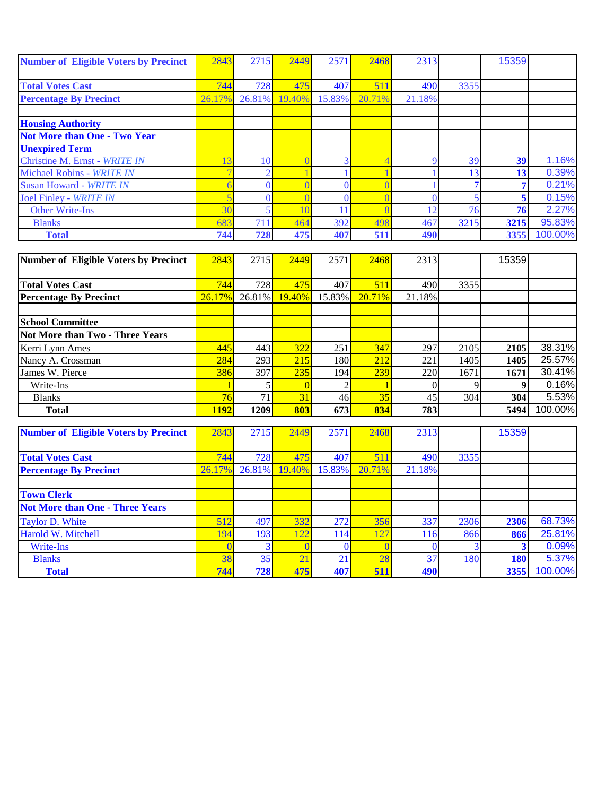| <b>Number of Eligible Voters by Precinct</b> | 2843   | 2715   | 2449   | 2571   | 2468   | 2313           |      | 15359 |         |
|----------------------------------------------|--------|--------|--------|--------|--------|----------------|------|-------|---------|
|                                              |        |        |        |        |        |                |      |       |         |
| <b>Total Votes Cast</b>                      | 744    | 728    | 475    | 407    | 511    | 490            | 3355 |       |         |
| <b>Percentage By Precinct</b>                | 26.17% | 26.81% | 19.40% | 15.83% | 20.71% | 21.18%         |      |       |         |
|                                              |        |        |        |        |        |                |      |       |         |
| <b>Housing Authority</b>                     |        |        |        |        |        |                |      |       |         |
| <b>Not More than One - Two Year</b>          |        |        |        |        |        |                |      |       |         |
| <b>Unexpired Term</b>                        |        |        |        |        |        |                |      |       |         |
| Christine M. Ernst - WRITE IN                |        | 10     |        |        |        |                | 39   | 39    | 1.16%   |
| Michael Robins - WRITE IN                    |        |        |        |        |        |                | 13   | 13    | 0.39%   |
| Susan Howard - WRITE IN                      |        |        |        |        |        |                |      |       | 0.21%   |
| Joel Finley - WRITE IN                       |        |        |        |        |        |                |      |       | 0.15%   |
| <b>Other Write-Ins</b>                       | 30     |        |        |        |        | $\overline{2}$ | 76   | 76    | 2.27%   |
| <b>Blanks</b>                                | 683    | 711    | 464    | 392    | 498    | 467            | 3215 | 3215  | 95.83%  |
| <b>Total</b>                                 | 744    | 728    | 475    | 407    | 511    | 490            |      | 3355  | 100.00% |

| Number of Eligible Voters by Precinct  | 2843        | 2715      | 2449   | 2571   | 2468            | 2313   |      | 15359 |         |
|----------------------------------------|-------------|-----------|--------|--------|-----------------|--------|------|-------|---------|
|                                        |             |           |        |        |                 |        |      |       |         |
| <b>Total Votes Cast</b>                | 744         | 728       | 475    | 407    | 511             | 490    | 3355 |       |         |
| <b>Percentage By Precinct</b>          | 26.17%      | $26.81\%$ | 19.40% | 15.83% | 20.71%          | 21.18% |      |       |         |
|                                        |             |           |        |        |                 |        |      |       |         |
| <b>School Committee</b>                |             |           |        |        |                 |        |      |       |         |
| <b>Not More than Two - Three Years</b> |             |           |        |        |                 |        |      |       |         |
| Kerri Lynn Ames                        | 445         | 443       | 322    | 251    | 347             | 297    | 2105 | 2105  | 38.31%  |
| Nancy A. Crossman                      | 284         | 293       | 215    | 180    | 212             | 221    | 1405 | 1405  | 25.57%  |
| James W. Pierce                        | 386         | 397       | 235    | 194    | 239             | 220    | 1671 | 1671  | 30.41%  |
| Write-Ins                              |             |           |        |        |                 |        |      |       | 0.16%   |
| <b>Blanks</b>                          | 76          |           | 31     | 46     | 35 <sub>l</sub> | 45     | 304  | 304   | 5.53%   |
| <b>Total</b>                           | <b>1192</b> | 1209      | 803    | 673    | 834             | 783    |      | 5494  | 100.00% |

| <b>Number of Eligible Voters by Precinct</b> | 2843   | 2715   | 2449   | 2571   | 2468   | 2313            |      | 15359      |         |
|----------------------------------------------|--------|--------|--------|--------|--------|-----------------|------|------------|---------|
|                                              |        |        |        |        |        |                 |      |            |         |
| <b>Total Votes Cast</b>                      | 744    | 728    | 475    | 407    | 511    | 490             | 3355 |            |         |
| <b>Percentage By Precinct</b>                | 26.17% | 26.81% | 19.40% | 15.83% | 20.71% | 21.18%          |      |            |         |
|                                              |        |        |        |        |        |                 |      |            |         |
| <b>Town Clerk</b>                            |        |        |        |        |        |                 |      |            |         |
| <b>Not More than One - Three Years</b>       |        |        |        |        |        |                 |      |            |         |
| Taylor D. White                              | 512    | 497    | 332    | 272    | 356    | 337             | 2306 | 2306       | 68.73%  |
| Harold W. Mitchell                           | 194    | 193    | 122    | 114    | 127    | 116             | 866  | 866        | 25.81%  |
| Write-Ins                                    |        |        |        |        |        |                 |      |            | 0.09%   |
| <b>Blanks</b>                                | 38     | 35     | 21     | 21     | 28     | 37 <sub>1</sub> | 180  | <b>180</b> | 5.37%   |
| <b>Total</b>                                 | 744    | 728    | 475    | 407    | 511    | 490             |      | 3355       | 100.00% |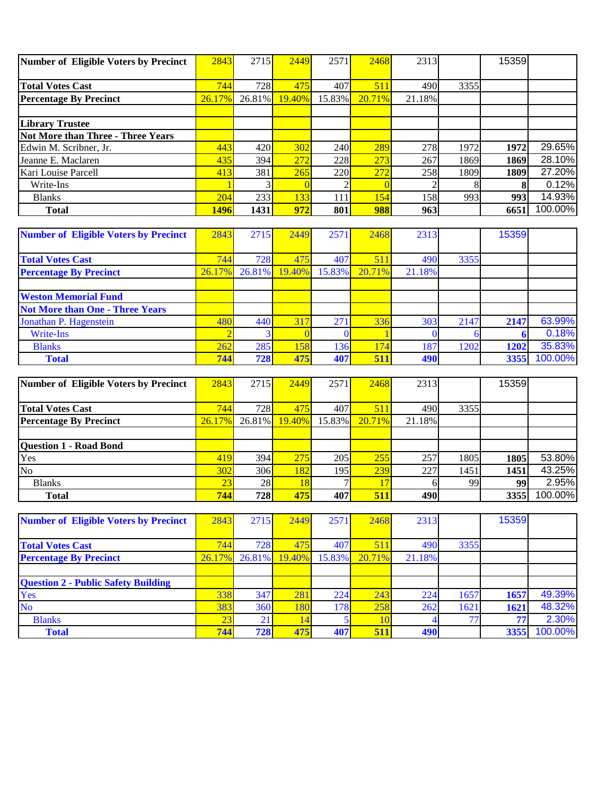| Number of Eligible Voters by Precinct | 2843   | 2715   | 2449   | 2571   | 2468      | 2313   |      | 15359 |         |
|---------------------------------------|--------|--------|--------|--------|-----------|--------|------|-------|---------|
|                                       |        |        |        |        |           |        |      |       |         |
| <b>Total Votes Cast</b>               | 744    | 728    | 475    | 407    | 511       | 490    | 3355 |       |         |
| <b>Percentage By Precinct</b>         | 26.17% | 26.81% | 19.40% | 15.83% | $20.71\%$ | 21.18% |      |       |         |
|                                       |        |        |        |        |           |        |      |       |         |
| <b>Library Trustee</b>                |        |        |        |        |           |        |      |       |         |
| Not More than Three - Three Years     |        |        |        |        |           |        |      |       |         |
| Edwin M. Scribner, Jr.                | 443    | 420    | 302    | 240    | 289       | 278    | 1972 | 1972  | 29.65%  |
| Jeanne E. Maclaren                    | 435    | 394    | 272    | 228    | 273       | 267    | 1869 | 1869  | 28.10%  |
| Kari Louise Parcell                   | 413    | 381    | 265    | 220    | 272       | 258    | 1809 | 1809  | 27.20%  |
| Write-Ins                             |        |        |        |        |           |        |      |       | 0.12%   |
| <b>Blanks</b>                         | 204    | 233    | 1331   | 111    | 154       | 158    | 993  | 993   | 14.93%  |
| <b>Total</b>                          | 1496   | 1431   | 972    | 801    | 988       | 963    |      | 6651  | 100.00% |

| <b>Number of Eligible Voters by Precinct</b> | 2843   | 2715      | 2449   | 2571   | 2468   | 2313   |      | 15359 |         |
|----------------------------------------------|--------|-----------|--------|--------|--------|--------|------|-------|---------|
|                                              |        |           |        |        |        |        |      |       |         |
| <b>Total Votes Cast</b>                      | 744    | 728       | 475    | 407    | 511    | 490    | 3355 |       |         |
| <b>Percentage By Precinct</b>                | 26.17% | $26.81\%$ | 19.40% | 15.83% | 20.71% | 21.18% |      |       |         |
|                                              |        |           |        |        |        |        |      |       |         |
| <b>Weston Memorial Fund</b>                  |        |           |        |        |        |        |      |       |         |
| <b>Not More than One - Three Years</b>       |        |           |        |        |        |        |      |       |         |
| Jonathan P. Hagenstein                       | 480    | 440       | 317    | 271    | 336    | 303    | 2147 | 2147  | 63.99%  |
| Write-Ins                                    |        |           |        |        |        |        |      |       | 0.18%   |
| <b>Blanks</b>                                | 262    | 285       | 158    | 136    | 174    | 187    | 1202 | 1202  | 35.83%  |
| <b>Total</b>                                 | 744    | 728       | 475    | 407    | 511    | 490    |      | 3355  | 100.00% |

| Number of Eligible Voters by Precinct | 2843   | 2715      | 2449       | 2571      | 2468   | 2313   |      | 15359 |         |
|---------------------------------------|--------|-----------|------------|-----------|--------|--------|------|-------|---------|
|                                       |        |           |            |           |        |        |      |       |         |
| <b>Total Votes Cast</b>               | 744    | 728       | 475        | 407       | 511    | 490    | 3355 |       |         |
| <b>Percentage By Precinct</b>         | 26.17% | $26.81\%$ | 19.40%     | $15.83\%$ | 20.71% | 21.18% |      |       |         |
|                                       |        |           |            |           |        |        |      |       |         |
| <b>Question 1 - Road Bond</b>         |        |           |            |           |        |        |      |       |         |
| Yes                                   | 419    | 394       | 275        | 205       | 255    | 257    | 1805 | 1805  | 53.80%  |
| N <sub>o</sub>                        | 302    | 306       | <b>182</b> | 195       | 239    | 227    | 1451 | 1451  | 43.25%  |
| <b>Blanks</b>                         | 23     | 28        | 18         |           |        |        | 99   | 99    | 2.95%   |
| <b>Total</b>                          | 744    | 728       | 475        | 407       | 51     | 490    |      | 3355  | 100.00% |

| <b>Number of Eligible Voters by Precinct</b> | 2843   | 2715      | 2449   | 2571   | 2468   | 2313   |      | 15359 |         |
|----------------------------------------------|--------|-----------|--------|--------|--------|--------|------|-------|---------|
|                                              |        |           |        |        |        |        |      |       |         |
| <b>Total Votes Cast</b>                      | 744    | 728       | 475    | 407    | 51     | 490    | 3355 |       |         |
| <b>Percentage By Precinct</b>                | 26.17% | $26.81\%$ | 19.40% | 15.83% | 20.71% | 21.18% |      |       |         |
|                                              |        |           |        |        |        |        |      |       |         |
| <b>Question 2 - Public Safety Building</b>   |        |           |        |        |        |        |      |       |         |
| Yes                                          | 338    | 347       | 281    | 224    | 243    | 224    | 1657 | 1657  | 49.39%  |
| <b>No</b>                                    | 383    | 360       | 180    | 178    | 258    | 262    | 1621 | 1621  | 48.32%  |
| <b>Blanks</b>                                | 23     | 21        |        |        |        |        |      | 56    | 2.30%   |
| <b>Total</b>                                 | 744    | 728       | 475    | 407    | 511    | 490    |      | 3355  | 100.00% |